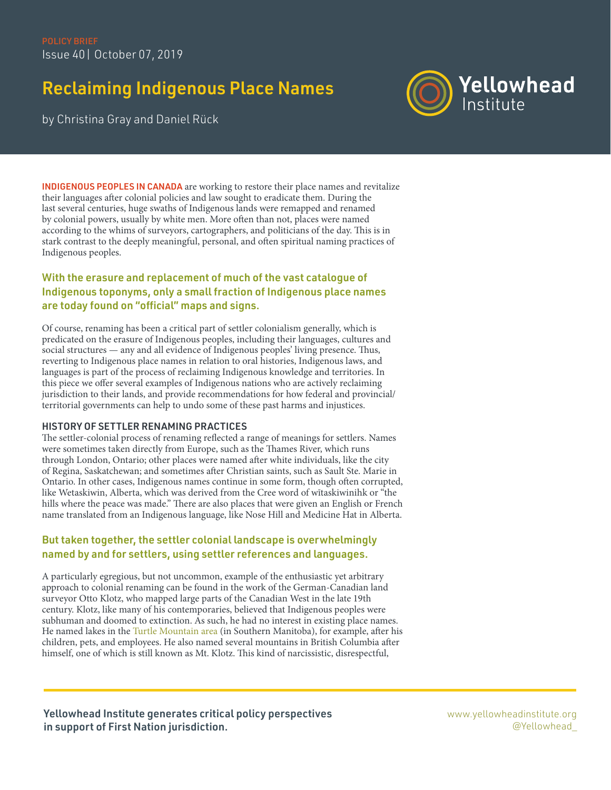# Reclaiming Indigenous Place Names



by Christina Gray and Daniel Rück

INDIGENOUS PEOPLES IN CANADA are working to restore their place names and revitalize their languages after colonial policies and law sought to eradicate them. During the last several centuries, huge swaths of Indigenous lands were remapped and renamed by colonial powers, usually by white men. More often than not, places were named according to the whims of surveyors, cartographers, and politicians of the day. This is in stark contrast to the deeply meaningful, personal, and often spiritual naming practices of Indigenous peoples.

# With the erasure and replacement of much of the vast catalogue of Indigenous toponyms, only a small fraction of Indigenous place names are today found on "official" maps and signs.

Of course, renaming has been a critical part of settler colonialism generally, which is predicated on the erasure of Indigenous peoples, including their languages, cultures and social structures — any and all evidence of Indigenous peoples' living presence. Thus, reverting to Indigenous place names in relation to oral histories, Indigenous laws, and languages is part of the process of reclaiming Indigenous knowledge and territories. In this piece we offer several examples of Indigenous nations who are actively reclaiming jurisdiction to their lands, and provide recommendations for how federal and provincial/ territorial governments can help to undo some of these past harms and injustices.

## HISTORY OF SETTLER RENAMING PRACTICES

The settler-colonial process of renaming reflected a range of meanings for settlers. Names were sometimes taken directly from Europe, such as the Thames River, which runs through London, Ontario; other places were named after white individuals, like the city of Regina, Saskatchewan; and sometimes after Christian saints, such as Sault Ste. Marie in Ontario. In other cases, Indigenous names continue in some form, though often corrupted, like Wetaskiwin, Alberta, which was derived from the Cree word of wītaskiwinihk or "the hills where the peace was made." There are also places that were given an English or French name translated from an Indigenous language, like Nose Hill and Medicine Hat in Alberta.

## But taken together, the settler colonial landscape is overwhelmingly named by and for settlers, using settler references and languages.

A particularly egregious, but not uncommon, example of the enthusiastic yet arbitrary approach to colonial renaming can be found in the work of the German-Canadian land surveyor Otto Klotz, who mapped large parts of the Canadian West in the late 19th century. Klotz, like many of his contemporaries, believed that Indigenous peoples were subhuman and doomed to extinction. As such, he had no interest in existing place names. He named lakes in the [Turtle Mountain area](https://goo.gl/maps/8ovgfQCj3FaRcKns7) (in Southern Manitoba), for example, after his children, pets, and employees. He also named several mountains in British Columbia after himself, one of which is still known as Mt. Klotz. This kind of narcissistic, disrespectful,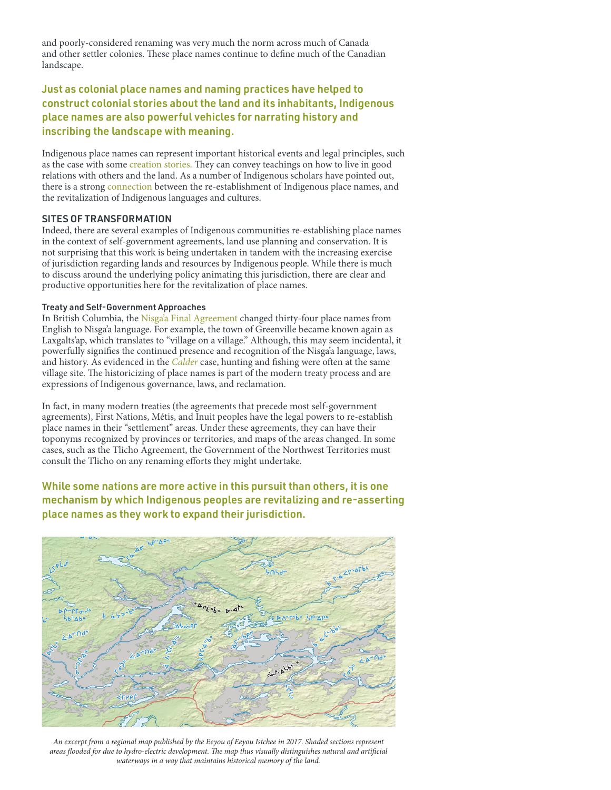and poorly-considered renaming was very much the norm across much of Canada and other settler colonies. These place names continue to define much of the Canadian landscape.

# Just as colonial place names and naming practices have helped to construct colonial stories about the land and its inhabitants, Indigenous place names are also powerful vehicles for narrating history and inscribing the landscape with meaning.

Indigenous place names can represent important historical events and legal principles, such as the case with some [creation stories.](https://login.ezproxy.library.uvic.ca/login?url=http://search.proquest.com/docview/1916982361?accountid=14846) They can convey teachings on how to live in good relations with others and the land. As a number of Indigenous scholars have pointed out, there is a strong [connection](https://journals.sagepub.com/doi/pdf/10.1177/117718010900500206) between the re-establishment of Indigenous place names, and the revitalization of Indigenous languages and cultures.

### SITES OF TRANSFORMATION

Indeed, there are several examples of Indigenous communities re-establishing place names in the context of self-government agreements, land use planning and conservation. It is not surprising that this work is being undertaken in tandem with the increasing exercise of jurisdiction regarding lands and resources by Indigenous people. While there is much to discuss around the underlying policy animating this jurisdiction, there are clear and productive opportunities here for the revitalization of place names.

#### Treaty and Self-Government Approaches

In British Columbia, the [Nisga'a Final Agreement](https://www2.gov.bc.ca/assets/gov/environment/natural-resource-stewardship/consulting-with-first-nations/agreements/nfa_appendix_f.pdf) changed thirty-four place names from English to Nisga'a language. For example, the town of Greenville became known again as Laxgalts'ap, which translates to "village on a village." Although, this may seem incidental, it powerfully signifies the continued presence and recognition of the Nisga'a language, laws, and history. As evidenced in the *[Calder](https://scc-csc.lexum.com/scc-csc/scc-csc/en/item/5113/index.do)* case, hunting and fishing were often at the same village site. The historicizing of place names is part of the modern treaty process and are expressions of Indigenous governance, laws, and reclamation.

In fact, in many modern treaties (the agreements that precede most self-government agreements), First Nations, Métis, and Inuit peoples have the legal powers to re-establish place names in their "settlement" areas. Under these agreements, they can have their toponyms recognized by provinces or territories, and maps of the areas changed. In some cases, such as the Tlicho Agreement, the Government of the Northwest Territories must consult the Tlicho on any renaming efforts they might undertake.

# While some nations are more active in this pursuit than others, it is one mechanism by which Indigenous peoples are revitalizing and re-asserting place names as they work to expand their jurisdiction.



*An excerpt from a regional map published by the Eeyou of Eeyou Istchee in 2017. Shaded sections represent areas flooded for due to hydro-electric development. The map thus visually distinguishes natural and artificial waterways in a way that maintains historical memory of the land.*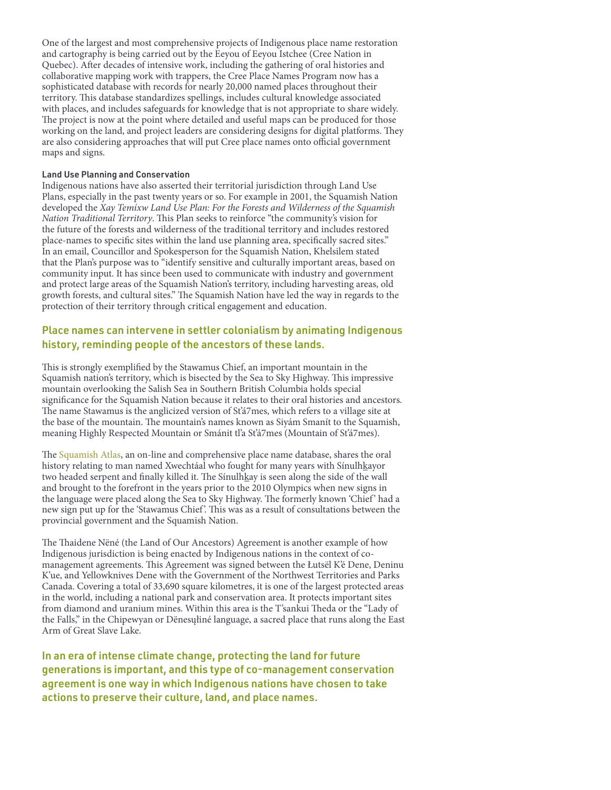One of the largest and most comprehensive projects of Indigenous place name restoration and cartography is being carried out by the Eeyou of Eeyou Istchee (Cree Nation in Quebec). After decades of intensive work, including the gathering of oral histories and collaborative mapping work with trappers, the Cree Place Names Program now has a sophisticated database with records for nearly 20,000 named places throughout their territory. This database standardizes spellings, includes cultural knowledge associated with places, and includes safeguards for knowledge that is not appropriate to share widely. The project is now at the point where detailed and useful maps can be produced for those working on the land, and project leaders are considering designs for digital platforms. They are also considering approaches that will put Cree place names onto official government maps and signs.

#### Land Use Planning and Conservation

Indigenous nations have also asserted their territorial jurisdiction through Land Use Plans, especially in the past twenty years or so. For example in 2001, the Squamish Nation developed the *Xay Temíxw Land Use Plan: For the Forests and Wilderness of the Squamish Nation Traditional Territory*. This Plan seeks to reinforce "the community's vision for the future of the forests and wilderness of the traditional territory and includes restored place-names to specific sites within the land use planning area, specifically sacred sites." In an email, Councillor and Spokesperson for the Squamish Nation, Khelsilem stated that the Plan's purpose was to "identify sensitive and culturally important areas, based on community input. It has since been used to communicate with industry and government and protect large areas of the Squamish Nation's territory, including harvesting areas, old growth forests, and cultural sites." The Squamish Nation have led the way in regards to the protection of their territory through critical engagement and education.

## Place names can intervene in settler colonialism by animating Indigenous history, reminding people of the ancestors of these lands.

This is strongly exemplified by the Stawamus Chief, an important mountain in the Squamish nation's territory, which is bisected by the Sea to Sky Highway. This impressive mountain overlooking the Salish Sea in Southern British Columbia holds special significance for the Squamish Nation because it relates to their oral histories and ancestors. The name Stawamus is the anglicized version of St'á7mes, which refers to a village site at the base of the mountain. The mountain's names known as Siyám Smanít to the Squamish, meaning Highly Respected Mountain or Smánit tl'a St'á7mes (Mountain of St'á7mes).

The [Squamish Atlas,](http://squamishatlas.com) an on-line and comprehensive place name database, shares the oral history relating to man named Xwechtáal who fought for many years with Sínulhkayor two headed serpent and finally killed it. The Sínulhkay is seen along the side of the wall and brought to the forefront in the years prior to the 2010 Olympics when new signs in the language were placed along the Sea to Sky Highway. The formerly known 'Chief' had a new sign put up for the 'Stawamus Chief '. This was as a result of consultations between the provincial government and the Squamish Nation.

The Thaidene Nëné (the Land of Our Ancestors) Agreement is another example of how Indigenous jurisdiction is being enacted by Indigenous nations in the context of comanagement agreements. This Agreement was signed between the Łutsël K'é Dene, Deninu K'ue, and Yellowknives Dene with the Government of the Northwest Territories and Parks Canada. Covering a total of 33,690 square kilometres, it is one of the largest protected areas in the world, including a national park and conservation area. It protects important sites from diamond and uranium mines. Within this area is the T'sankui Theda or the "Lady of the Falls," in the Chipewyan or Dënesųłiné language, a sacred place that runs along the East Arm of Great Slave Lake.

In an era of intense climate change, protecting the land for future generations is important, and this type of co-management conservation agreement is one way in which Indigenous nations have chosen to take actions to preserve their culture, land, and place names.